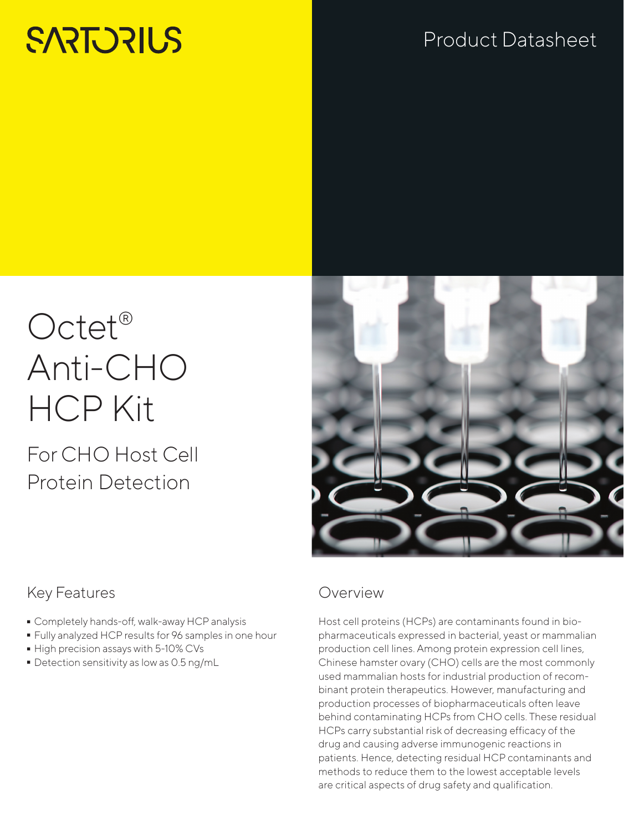# **SARTORILS**

## Product Datasheet

# Octet<sup>®</sup> Anti-CHO HCP Kit

## For CHO Host Cell Protein Detection



### Key Features

- 
- Completely hands-off, walk-away HCP analysis<br>■ Fully analyzed HCP results for 96 samples in on - Fully analyzed HCP results for 96 samples in one hour
- 
- $\bullet$  High precision assays with 5-10% CVs<br> $\bullet$  Detection sensitivity as low as 0.5 ng/i  $\blacksquare$  Detection sensitivity as low as 0.5 ng/mL

#### Overview

Host cell proteins (HCPs) are contaminants found in biopharmaceuticals expressed in bacterial, yeast or mammalian production cell lines. Among protein expression cell lines, Chinese hamster ovary (CHO) cells are the most commonly used mammalian hosts for industrial production of recombinant protein therapeutics. However, manufacturing and production processes of biopharmaceuticals often leave behind contaminating HCPs from CHO cells. These residual HCPs carry substantial risk of decreasing efficacy of the drug and causing adverse immunogenic reactions in patients. Hence, detecting residual HCP contaminants and methods to reduce them to the lowest acceptable levels are critical aspects of drug safety and qualification.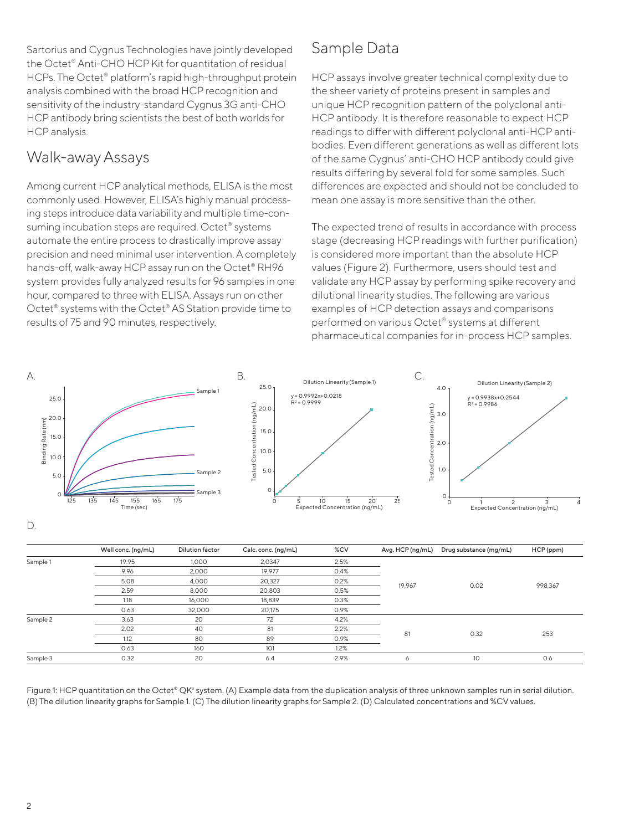Sartorius and Cygnus Technologies have jointly developed the Octet® Anti-CHO HCP Kit for quantitation of residual HCPs. The Octet® platform's rapid high-throughput protein analysis combined with the broad HCP recognition and sensitivity of the industry-standard Cygnus 3G anti-CHO HCP antibody bring scientists the best of both worlds for HCP analysis.

#### Walk-away Assays

Among current HCP analytical methods, ELISA is the most commonly used. However, ELISA's highly manual processing steps introduce data variability and multiple time-consuming incubation steps are required. Octet<sup>®</sup> systems automate the entire process to drastically improve assay precision and need minimal user intervention. A completely hands-off, walk-away HCP assay run on the Octet® RH96 system provides fully analyzed results for 96 samples in one hour, compared to three with ELISA. Assays run on other Octet® systems with the Octet® AS Station provide time to results of 75 and 90 minutes, respectively.

### Sample Data

HCP assays involve greater technical complexity due to the sheer variety of proteins present in samples and unique HCP recognition pattern of the polyclonal anti-HCP antibody. It is therefore reasonable to expect HCP readings to differ with different polyclonal anti-HCP antibodies. Even different generations as well as different lots of the same Cygnus' anti-CHO HCP antibody could give results differing by several fold for some samples. Such differences are expected and should not be concluded to mean one assay is more sensitive than the other.

The expected trend of results in accordance with process stage (decreasing HCP readings with further purification) is considered more important than the absolute HCP values (Figure 2). Furthermore, users should test and validate any HCP assay by performing spike recovery and dilutional linearity studies. The following are various examples of HCP detection assays and comparisons performed on various Octet® systems at different pharmaceutical companies for in-process HCP samples.



|          | Well conc. (ng/mL) | <b>Dilution factor</b> | Calc. conc. (ng/mL) | %CV  | Avg. HCP (ng/mL) | Drug substance (mg/mL) | HCP (ppm) |
|----------|--------------------|------------------------|---------------------|------|------------------|------------------------|-----------|
| Sample 1 | 19.95              | 1.000                  | 2,0347              | 2.5% |                  |                        |           |
|          | 9.96               | 2,000                  | 19,977              | 0.4% |                  |                        |           |
|          | 5.08               | 4,000                  | 20,327              | 0.2% |                  |                        |           |
|          | 2.59               | 8,000                  | 20,803              | 0.5% | 19,967           | 0.02                   | 998,367   |
|          | 1.18               | 16,000                 | 18,839              | 0.3% |                  |                        |           |
|          | 0.63               | 32,000                 | 20,175              | 0.9% |                  |                        |           |
| Sample 2 | 3.63               | 20                     | 72                  | 4.2% |                  |                        |           |
|          | 2.02               | 40                     | 81                  | 2.2% |                  |                        |           |
|          | 1.12               | 80                     | 89                  | 0.9% | 81               | 0.32                   | 253       |
|          | 0.63               | 160                    | 101                 | 1.2% |                  |                        |           |
| Sample 3 | 0.32               | 20                     | 6.4                 | 2.9% | Ô                | 10                     | 0.6       |

Figure 1: HCP quantitation on the Octet® QK<sup>e</sup> system. (A) Example data from the duplication analysis of three unknown samples run in serial dilution. (B) The dilution linearity graphs for Sample 1. (C) The dilution linearity graphs for Sample 2. (D) Calculated concentrations and %CV values.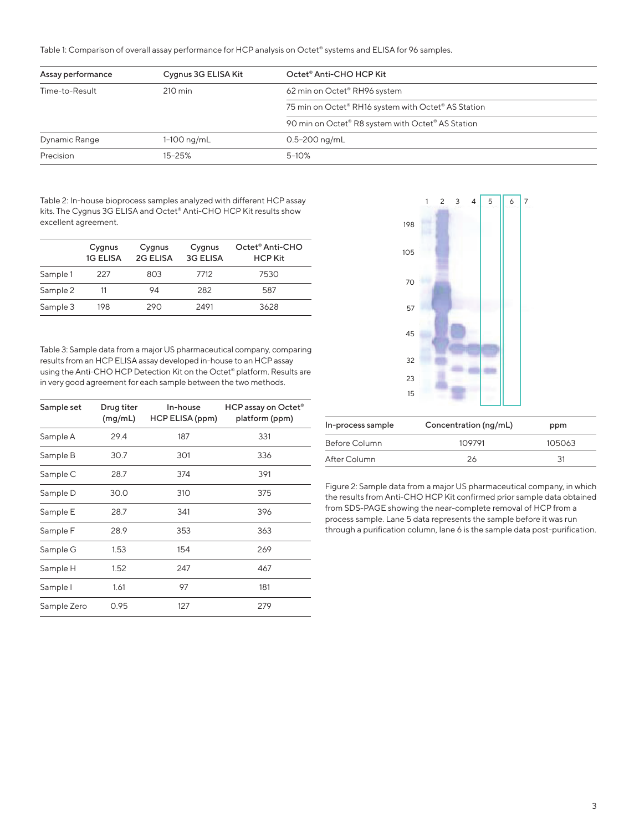Table 1: Comparison of overall assay performance for HCP analysis on Octet® systems and ELISA for 96 samples.

| Assay performance | Cygnus 3G ELISA Kit | Octet® Anti-CHO HCP Kit                             |
|-------------------|---------------------|-----------------------------------------------------|
| Time-to-Result    | $210 \text{ min}$   | 62 min on Octet® RH96 system                        |
|                   |                     | 75 min on Octet® RH16 system with Octet® AS Station |
|                   |                     | 90 min on Octet® R8 system with Octet® AS Station   |
| Dynamic Range     | $1-100$ ng/mL       | $0.5 - 200$ ng/mL                                   |
| Precision         | $15 - 25%$          | $5 - 10%$                                           |

Table 2: In-house bioprocess samples analyzed with different HCP assay kits. The Cygnus 3G ELISA and Octet® Anti-CHO HCP Kit results show excellent agreement.

|          | Cygnus<br><b>1G ELISA</b> | Cygnus<br>2G ELISA | Cygnus<br><b>3G ELISA</b> | Octet <sup>®</sup> Anti-CHO<br><b>HCP Kit</b> |
|----------|---------------------------|--------------------|---------------------------|-----------------------------------------------|
| Sample 1 | 227                       | 803                | 7712                      | 7530                                          |
| Sample 2 |                           | 94                 | 282                       | 587                                           |
| Sample 3 | 198                       | 290                | 2491                      | 3628                                          |

Table 3: Sample data from a major US pharmaceutical company, comparing results from an HCP ELISA assay developed in-house to an HCP assay using the Anti-CHO HCP Detection Kit on the Octet® platform. Results are in very good agreement for each sample between the two methods.

| Sample set  | Drug titer<br>(mg/mL) | In-house<br>HCP ELISA (ppm) | HCP assay on Octet <sup>®</sup><br>platform (ppm) |
|-------------|-----------------------|-----------------------------|---------------------------------------------------|
| Sample A    | 29.4                  | 187                         | 331                                               |
| Sample B    | 30.7                  | 301                         | 336                                               |
| Sample C    | 28.7                  | 374                         | 391                                               |
| Sample D    | 30.0                  | 310                         | 375                                               |
| Sample E    | 28.7                  | 341                         | 396                                               |
| Sample F    | 28.9                  | 353                         | 363                                               |
| Sample G    | 1.53                  | 154                         | 269                                               |
| Sample H    | 1.52                  | 247                         | 467                                               |
| Sample I    | 1.61                  | 97                          | 181                                               |
| Sample Zero | 0.95                  | 127                         | 279                                               |



| In-process sample | Concentration (ng/mL) | ppm    |  |
|-------------------|-----------------------|--------|--|
| Before Column     | 109791                | 105063 |  |
| After Column      | 26                    | 31     |  |

Figure 2: Sample data from a major US pharmaceutical company, in which the results from Anti-CHO HCP Kit confirmed prior sample data obtained from SDS-PAGE showing the near-complete removal of HCP from a process sample. Lane 5 data represents the sample before it was run through a purification column, lane 6 is the sample data post-purification.